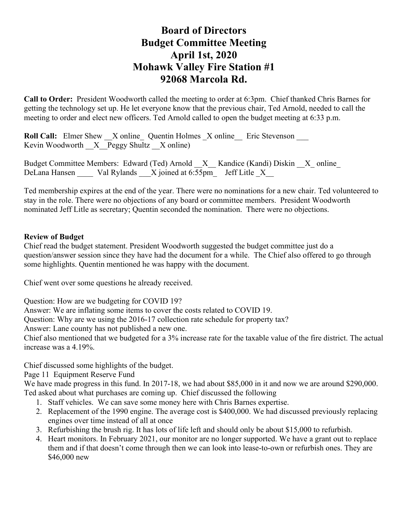# **Board of Directors Budget Committee Meeting April 1st, 2020 Mohawk Valley Fire Station #1 92068 Marcola Rd.**

**Call to Order:** President Woodworth called the meeting to order at 6:3pm. Chief thanked Chris Barnes for getting the technology set up. He let everyone know that the previous chair, Ted Arnold, needed to call the meeting to order and elect new officers. Ted Arnold called to open the budget meeting at 6:33 p.m.

**Roll Call:** Elmer Shew X online Quentin Holmes X online Eric Stevenson Kevin Woodworth  $X$  Peggy Shultz  $X$  online)

Budget Committee Members: Edward (Ted) Arnold  $X$  Kandice (Kandi) Diskin X online DeLana Hansen Val Rylands X joined at 6:55pm\_ Jeff Litle X

Ted membership expires at the end of the year. There were no nominations for a new chair. Ted volunteered to stay in the role. There were no objections of any board or committee members. President Woodworth nominated Jeff Litle as secretary; Quentin seconded the nomination. There were no objections.

#### **Review of Budget**

Chief read the budget statement. President Woodworth suggested the budget committee just do a question/answer session since they have had the document for a while. The Chief also offered to go through some highlights. Quentin mentioned he was happy with the document.

Chief went over some questions he already received.

Question: How are we budgeting for COVID 19?

Answer: We are inflating some items to cover the costs related to COVID 19.

Question: Why are we using the 2016-17 collection rate schedule for property tax?

Answer: Lane county has not published a new one.

Chief also mentioned that we budgeted for a 3% increase rate for the taxable value of the fire district. The actual increase was a 4.19%.

Chief discussed some highlights of the budget.

Page 11 Equipment Reserve Fund

We have made progress in this fund. In 2017-18, we had about \$85,000 in it and now we are around \$290,000. Ted asked about what purchases are coming up. Chief discussed the following

- 1. Staff vehicles. We can save some money here with Chris Barnes expertise.
- 2. Replacement of the 1990 engine. The average cost is \$400,000. We had discussed previously replacing engines over time instead of all at once
- 3. Refurbishing the brush rig. It has lots of life left and should only be about \$15,000 to refurbish.
- 4. Heart monitors. In February 2021, our monitor are no longer supported. We have a grant out to replace them and if that doesn't come through then we can look into lease-to-own or refurbish ones. They are \$46,000 new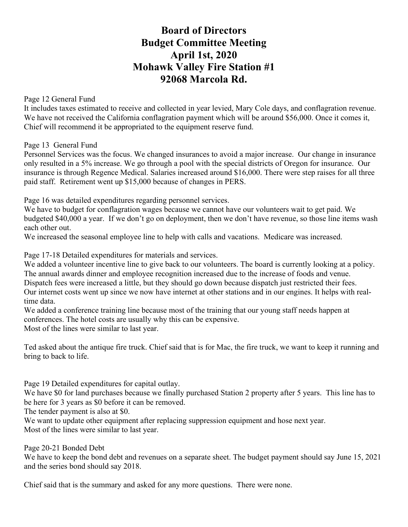# **Board of Directors Budget Committee Meeting April 1st, 2020 Mohawk Valley Fire Station #1 92068 Marcola Rd.**

Page 12 General Fund

It includes taxes estimated to receive and collected in year levied, Mary Cole days, and conflagration revenue. We have not received the California conflagration payment which will be around \$56,000. Once it comes it, Chief will recommend it be appropriated to the equipment reserve fund.

Page 13 General Fund

Personnel Services was the focus. We changed insurances to avoid a major increase. Our change in insurance only resulted in a 5% increase. We go through a pool with the special districts of Oregon for insurance. Our insurance is through Regence Medical. Salaries increased around \$16,000. There were step raises for all three paid staff. Retirement went up \$15,000 because of changes in PERS.

Page 16 was detailed expenditures regarding personnel services.

We have to budget for conflagration wages because we cannot have our volunteers wait to get paid. We budgeted \$40,000 a year. If we don't go on deployment, then we don't have revenue, so those line items wash each other out.

We increased the seasonal employee line to help with calls and vacations. Medicare was increased.

Page 17-18 Detailed expenditures for materials and services.

We added a volunteer incentive line to give back to our volunteers. The board is currently looking at a policy. The annual awards dinner and employee recognition increased due to the increase of foods and venue. Dispatch fees were increased a little, but they should go down because dispatch just restricted their fees.

Our internet costs went up since we now have internet at other stations and in our engines. It helps with realtime data.

We added a conference training line because most of the training that our young staff needs happen at conferences. The hotel costs are usually why this can be expensive.

Most of the lines were similar to last year.

Ted asked about the antique fire truck. Chief said that is for Mac, the fire truck, we want to keep it running and bring to back to life.

Page 19 Detailed expenditures for capital outlay.

We have \$0 for land purchases because we finally purchased Station 2 property after 5 years. This line has to be here for 3 years as \$0 before it can be removed.

The tender payment is also at \$0.

We want to update other equipment after replacing suppression equipment and hose next year. Most of the lines were similar to last year.

Page 20-21 Bonded Debt

We have to keep the bond debt and revenues on a separate sheet. The budget payment should say June 15, 2021 and the series bond should say 2018.

Chief said that is the summary and asked for any more questions. There were none.